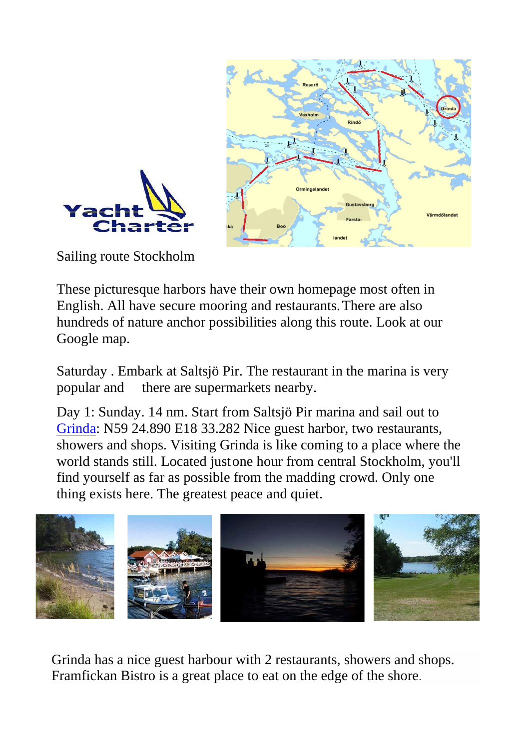



Sailing route Stockholm

These picturesque harbors have their own homepage most often in English. All have secure mooring and restaurants.There are also hundreds of nature anchor possibilities along this route. Look at our Google map.

Saturday . Embark at Saltsjö Pir. The restaurant in the marina is very popular and there are supermarkets nearby.

Day 1: Sunday. 14 nm. Start from Saltsjö Pir marina and sail out to [Grinda:](http://www.grindawardshus.se/) N59 24.890 E18 33.282 Nice guest harbor, two restaurants, showers and shops. Visiting Grinda is like coming to a place where the world stands still. Located justone hour from central Stockholm, you'll find yourself as far as possible from the madding crowd. Only one thing exists here. The greatest peace and quiet.



Grinda has a nice guest harbour with 2 restaurants, showers and shops. Framfickan Bistro is a great place to eat on the edge of the shore.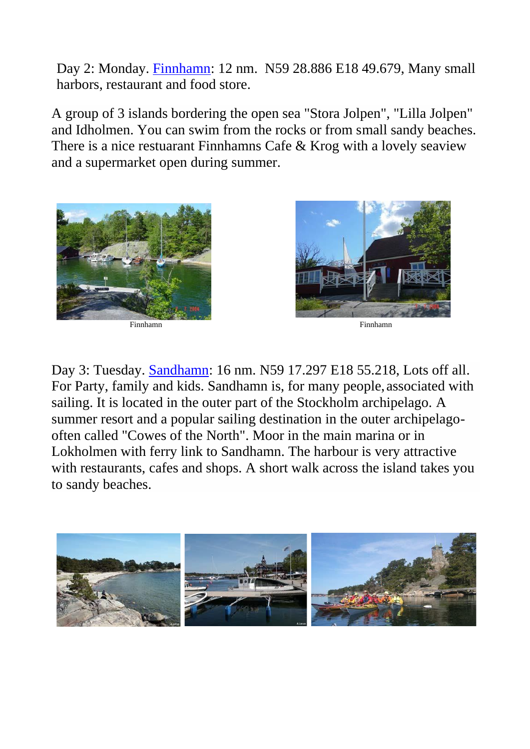Day 2: Monday. [Finnhamn:](http://www.finnhamn.nu/english/) 12 nm. N59 28.886 E18 49.679, Many small harbors, restaurant and food store.

A group of 3 islands bordering the open sea "Stora Jolpen", "Lilla Jolpen" and Idholmen. You can swim from the rocks or from small sandy beaches. There is a nice restuarant Finnhamns Cafe & Krog with a lovely seaview and a supermarket open during summer.



Finnhamn Finnhamn



Day 3: Tuesday. [Sandhamn:](http://www.sandhamn.se/) 16 nm. N59 17.297 E18 55.218, Lots off all. For Party, family and kids. Sandhamn is, for many people, associated with sailing. It is located in the outer part of the Stockholm archipelago. A summer resort and a popular sailing destination in the outer archipelagooften called "Cowes of the North". Moor in the main marina or in Lokholmen with ferry link to Sandhamn. The harbour is very attractive with restaurants, cafes and shops. A short walk across the island takes you to sandy beaches.

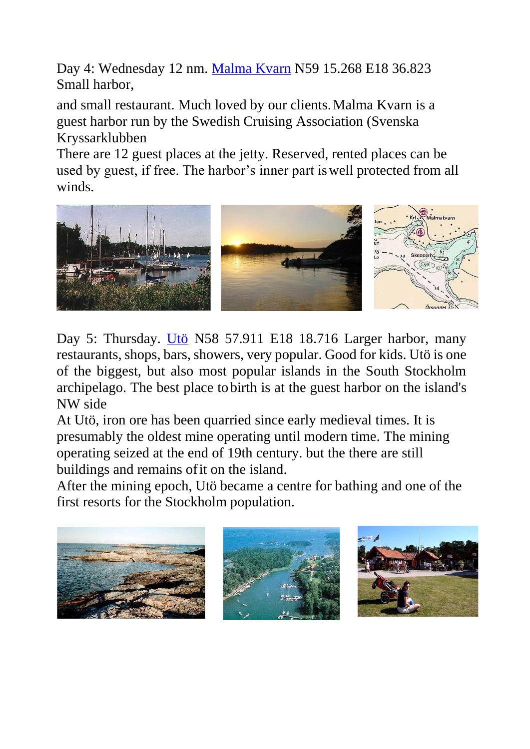Day 4: Wednesday 12 nm. [Malma Kvarn](http://www.malmakvarn.se/sxk.htm) N59 15.268 E18 36.823 Small harbor,

and small restaurant. Much loved by our clients.Malma Kvarn is a guest harbor run by the Swedish Cruising Association (Svenska Kryssarklubben

There are 12 guest places at the jetty. Reserved, rented places can be used by guest, if free. The harbor's inner part iswell protected from all winds.



Day 5: Thursday. [Utö](http://www.uto-vardshus.se/) N58 57.911 E18 18.716 Larger harbor, many restaurants, shops, bars, showers, very popular. Good for kids. Utö is one of the biggest, but also most popular islands in the South Stockholm archipelago. The best place tobirth is at the guest harbor on the island's NW side

At Utö, iron ore has been quarried since early medieval times. It is presumably the oldest mine operating until modern time. The mining operating seized at the end of 19th century. but the there are still buildings and remains of it on the island.

After the mining epoch, Utö became a centre for bathing and one of the first resorts for the Stockholm population.